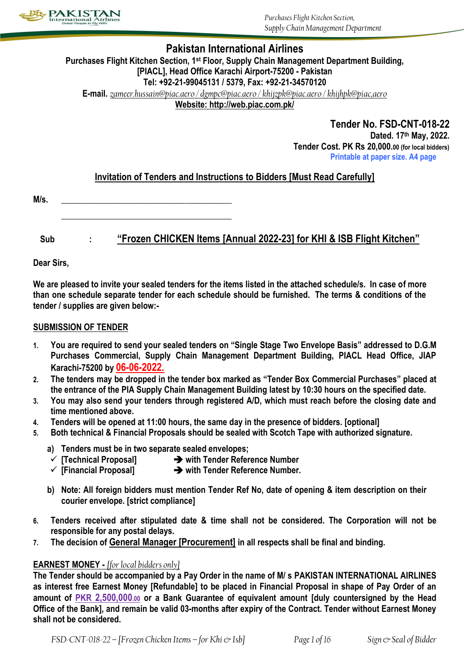

## **Pakistan International Airlines**

## **Purchases Flight Kitchen Section, 1st Floor, Supply Chain Management Department Building, [PIACL], Head Office Karachi Airport-75200 - Pakistan Tel: +92-21-99045131 / 5379, Fax: +92-21-34570120**

**E-mail.** *[zameer.hussain@piac.aero](mailto:zameer.hussain@piac.aero) [/ dgmpc@piac.aero](mailto:dgmpc@piac.aero) [/ khijzpk@piac.aero](mailto:khijzpk@piac.aero) / khijhpk@piac,aero* **Website: http://web.piac.com.pk/**

> **Tender No. FSD-CNT-018-22 Dated. 17 th May, 2022. Tender Cost. PK Rs 20,000.00 (for local bidders) Printable at paper size. A4 page**

## **Invitation of Tenders and Instructions to Bidders [Must Read Carefully]**

**\_\_\_\_\_\_\_\_\_\_\_\_\_\_\_\_\_\_\_\_\_\_\_\_\_\_\_\_\_\_\_\_\_\_\_\_\_\_\_\_**

**Sub : "Frozen CHICKEN Items [Annual 2022-23] for KHI & ISB Flight Kitchen"**

**Dear Sirs,**

**We are pleased to invite your sealed tenders for the items listed in the attached schedule/s. In case of more than one schedule separate tender for each schedule should be furnished. The terms & conditions of the tender / supplies are given below:-**

## **SUBMISSION OF TENDER**

- **1. You are required to send your sealed tenders on "Single Stage Two Envelope Basis" addressed to D.G.M Purchases Commercial, Supply Chain Management Department Building, PIACL Head Office, JIAP Karachi-75200 by 06-06-2022.**
- **2. The tenders may be dropped in the tender box marked as "Tender Box Commercial Purchases" placed at the entrance of the PIA Supply Chain Management Building latest by 10:30 hours on the specified date.**
- **3. You may also send your tenders through registered A/D, which must reach before the closing date and time mentioned above.**
- **4. Tenders will be opened at 11:00 hours, the same day in the presence of bidders. [optional]**
- **5. Both technical & Financial Proposals should be sealed with Scotch Tape with authorized signature.**
	- **a) Tenders must be in two separate sealed envelopes;**
	- **[Technical Proposal] with Tender Reference Number**
	- **[Financial Proposal] with Tender Reference Number.**
	- **b) Note: All foreign bidders must mention Tender Ref No, date of opening & item description on their courier envelope. [strict compliance]**
- **6. Tenders received after stipulated date & time shall not be considered. The Corporation will not be responsible for any postal delays.**
- **7. The decision of General Manager [Procurement] in all respects shall be final and binding.**

## **EARNEST MONEY -** *[for local bidders only]*

**The Tender should be accompanied by a Pay Order in the name of M/ s PAKISTAN INTERNATIONAL AIRLINES as interest free Earnest Money [Refundable] to be placed in Financial Proposal in shape of Pay Order of an amount of PKR 2,500,000.00 or a Bank Guarantee of equivalent amount [duly countersigned by the Head Office of the Bank], and remain be valid 03-months after expiry of the Contract. Tender without Earnest Money shall not be considered.**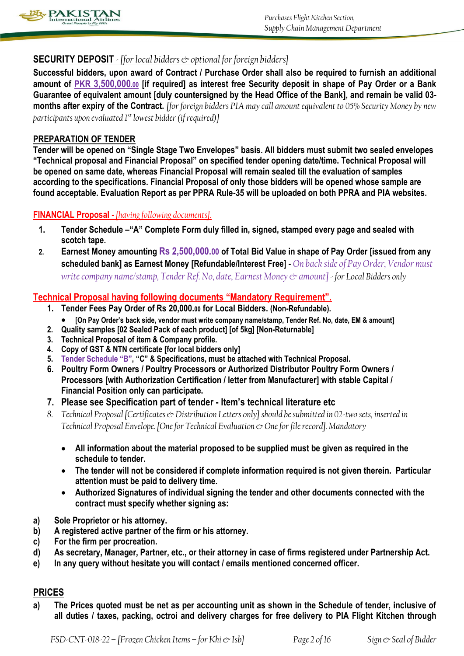

## **SECURITY DEPOSIT** *- [for local bidders & optional for foreign bidders]*

**Successful bidders, upon award of Contract / Purchase Order shall also be required to furnish an additional amount of PKR 3,500,000.00 [if required] as interest free Security deposit in shape of Pay Order or a Bank Guarantee of equivalent amount [duly countersigned by the Head Office of the Bank], and remain be valid 03 months after expiry of the Contract.** *[for foreign bidders PIA may call amount equivalent to 05% Security Money by new participants upon evaluated 1st lowest bidder (if required)]*

## **PREPARATION OF TENDER**

**Tender will be opened on "Single Stage Two Envelopes" basis. All bidders must submit two sealed envelopes "Technical proposal and Financial Proposal" on specified tender opening date/time. Technical Proposal will be opened on same date, whereas Financial Proposal will remain sealed till the evaluation of samples according to the specifications. Financial Proposal of only those bidders will be opened whose sample are found acceptable. Evaluation Report as per PPRA Rule-35 will be uploaded on both PPRA and PIA websites.**

## **FINANCIAL Proposal -** *[having following documents].*

- **1. Tender Schedule –"A" Complete Form duly filled in, signed, stamped every page and sealed with scotch tape.**
- **2. Earnest Money amounting Rs 2,500,000.00 of Total Bid Value in shape of Pay Order [issued from any scheduled bank] as Earnest Money [Refundable/Interest Free] -** *On back side of Pay Order, Vendor must write company name/stamp, Tender Ref. No, date, Earnest Money & amount] - for Local Bidders only*

## **Technical Proposal having following documents "Mandatory Requirement".**

- **1. Tender Fees Pay Order of Rs 20,000.00 for Local Bidders. (Non-Refundable).**
	- **[On Pay Order's back side, vendor must write company name/stamp, Tender Ref. No, date, EM & amount]**
- **2. Quality samples [02 Sealed Pack of each product] [of 5kg] [Non-Returnable]**
- **3. Technical Proposal of item & Company profile.**
- **4. Copy of GST & NTN certificate [for local bidders only]**
- **5. Tender Schedule "B", "C" & Specifications, must be attached with Technical Proposal.**
- **6. Poultry Form Owners / Poultry Processors or Authorized Distributor Poultry Form Owners / Processors [with Authorization Certification / letter from Manufacturer] with stable Capital / Financial Position only can participate.**
- **7. Please see Specification part of tender - Item's technical literature etc**
- *8. Technical Proposal [Certificates & Distribution Letters only] should be submitted in 02-two sets, inserted in Technical Proposal Envelope. [One for Technical Evaluation & One for file record]. Mandatory*
	- **All information about the material proposed to be supplied must be given as required in the schedule to tender.**
	- **The tender will not be considered if complete information required is not given therein. Particular attention must be paid to delivery time.**
	- **Authorized Signatures of individual signing the tender and other documents connected with the contract must specify whether signing as:**
- **a) Sole Proprietor or his attorney.**
- **b) A registered active partner of the firm or his attorney.**
- **c) For the firm per procreation.**
- **d) As secretary, Manager, Partner, etc., or their attorney in case of firms registered under Partnership Act.**
- **e) In any query without hesitate you will contact / emails mentioned concerned officer.**

## **PRICES**

**a) The Prices quoted must be net as per accounting unit as shown in the Schedule of tender, inclusive of all duties / taxes, packing, octroi and delivery charges for free delivery to PIA Flight Kitchen through**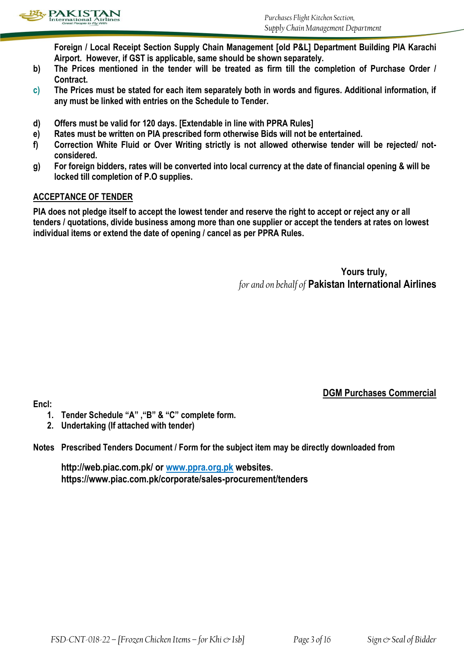

**Foreign / Local Receipt Section Supply Chain Management [old P&L] Department Building PIA Karachi Airport. However, if GST is applicable, same should be shown separately.**

- **b) The Prices mentioned in the tender will be treated as firm till the completion of Purchase Order / Contract.**
- **c) The Prices must be stated for each item separately both in words and figures. Additional information, if any must be linked with entries on the Schedule to Tender.**
- **d) Offers must be valid for 120 days. [Extendable in line with PPRA Rules]**
- **e) Rates must be written on PIA prescribed form otherwise Bids will not be entertained.**
- **f) Correction White Fluid or Over Writing strictly is not allowed otherwise tender will be rejected/ notconsidered.**
- **g) For foreign bidders, rates will be converted into local currency at the date of financial opening & will be locked till completion of P.O supplies.**

## **ACCEPTANCE OF TENDER**

**PIA does not pledge itself to accept the lowest tender and reserve the right to accept or reject any or all tenders / quotations, divide business among more than one supplier or accept the tenders at rates on lowest individual items or extend the date of opening / cancel as per PPRA Rules.**

> **Yours truly,** *for and on behalf of* **Pakistan International Airlines**

**Encl:** 

**DGM Purchases Commercial**

- **1. Tender Schedule "A" ,"B" & "C" complete form.**
- **2. Undertaking (If attached with tender)**

**Notes Prescribed Tenders Document / Form for the subject item may be directly downloaded from**

**http://web.piac.com.pk/ or www.ppra.org.pk websites. https://www.piac.com.pk/corporate/sales-procurement/tenders**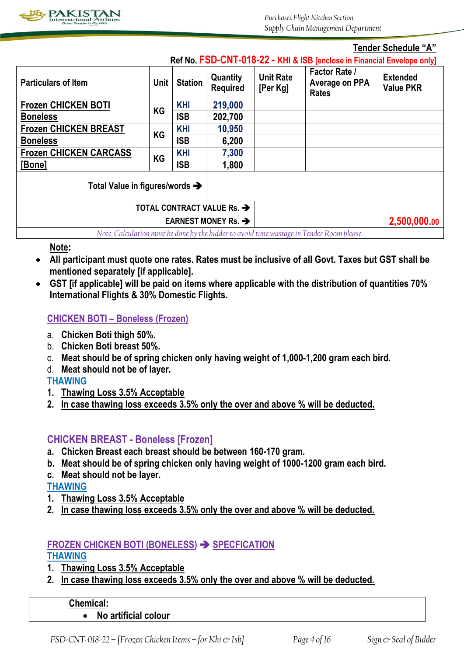

### **Tender Schedule "A" Ref No. FSD-CNT-018-22 - KHI & ISB [enclose in Financial Envelope only] Particulars of Item Departiculars of Item L** Unit **Station Quantity Required Unit Rate [Per Kg] Factor Rate / Average on PPA Rates Extended Value PKR Frozen CHICKEN BOTI Boneless KG KHI 219,000 ISB 202,700 Frozen CHICKEN BREAST Boneless KG KHI 10,950 ISB 6,200 Frozen CHICKEN CARCASS [Bone] KG KHI 7,300 ISB 1,800 Total Value in figures/words TOTAL CONTRACT VALUE Rs. EARNEST MONEY Rs. →**  $\blacktriangleright$  2,500,000.00

*Note. Calculation must be done by the bidderto avoid time wastage in Tender Room please.*

**Note:** 

- **All participant must quote one rates. Rates must be inclusive of all Govt. Taxes but GST shall be mentioned separately [if applicable].**
- **GST [if applicable] will be paid on items where applicable with the distribution of quantities 70% International Flights & 30% Domestic Flights.**

## **CHICKEN BOTI – Boneless (Frozen)**

- a. **Chicken Boti thigh 50%.**
- b. **Chicken Boti breast 50%.**
- c. **Meat should be of spring chicken only having weight of 1,000-1,200 gram each bird.**
- d. **Meat should not be of layer.**

**THAWING**

- **1. Thawing Loss 3.5% Acceptable**
- **2. In case thawing loss exceeds 3.5% only the over and above % will be deducted.**

# **CHICKEN BREAST - Boneless [Frozen]**

- **a. Chicken Breast each breast should be between 160-170 gram.**
- **b. Meat should be of spring chicken only having weight of 1000-1200 gram each bird.**
- **c. Meat should not be layer.**

**THAWING**

- **1. Thawing Loss 3.5% Acceptable**
- **2. In case thawing loss exceeds 3.5% only the over and above % will be deducted.**

# **FROZEN CHICKEN BOTI (BONELESS) SPECFICATION**

**THAWING**

- **1. Thawing Loss 3.5% Acceptable**
- **2. In case thawing loss exceeds 3.5% only the over and above % will be deducted.**

| <b>Chemical:</b>     |
|----------------------|
| No artificial colour |
|                      |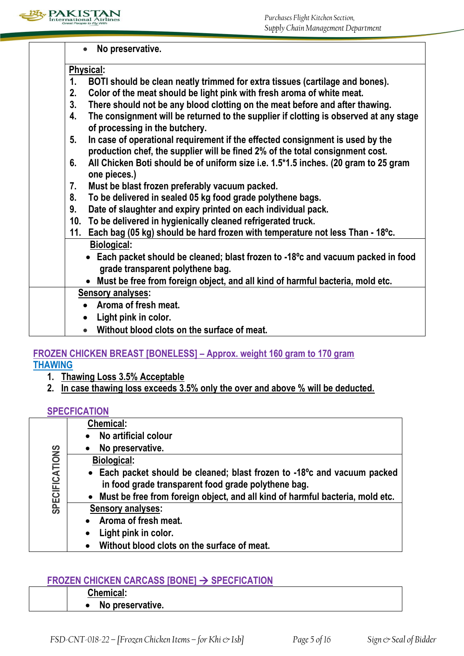

| No preservative.                                                                                                                            |  |  |
|---------------------------------------------------------------------------------------------------------------------------------------------|--|--|
| Physical:                                                                                                                                   |  |  |
| 1 <sub>1</sub><br>BOTI should be clean neatly trimmed for extra tissues (cartilage and bones).                                              |  |  |
| 2.<br>Color of the meat should be light pink with fresh aroma of white meat.                                                                |  |  |
| 3 <sub>1</sub><br>There should not be any blood clotting on the meat before and after thawing.                                              |  |  |
| The consignment will be returned to the supplier if clotting is observed at any stage<br>$\overline{4}$ .<br>of processing in the butchery. |  |  |
| In case of operational requirement if the effected consignment is used by the<br>5 <sub>1</sub>                                             |  |  |
| production chef, the supplier will be fined 2% of the total consignment cost.                                                               |  |  |
| All Chicken Boti should be of uniform size i.e. 1.5*1.5 inches. (20 gram to 25 gram<br>6.<br>one pieces.)                                   |  |  |
| Must be blast frozen preferably vacuum packed.<br>7.                                                                                        |  |  |
| To be delivered in sealed 05 kg food grade polythene bags.<br>8.                                                                            |  |  |
| Date of slaughter and expiry printed on each individual pack.<br>9.                                                                         |  |  |
| 10. To be delivered in hygienically cleaned refrigerated truck.                                                                             |  |  |
| 11. Each bag (05 kg) should be hard frozen with temperature not less Than - 18 <sup>o</sup> c.                                              |  |  |
| <b>Biological:</b>                                                                                                                          |  |  |
| • Each packet should be cleaned; blast frozen to -18 $^{\circ}$ c and vacuum packed in food                                                 |  |  |
| grade transparent polythene bag.                                                                                                            |  |  |
| • Must be free from foreign object, and all kind of harmful bacteria, mold etc.                                                             |  |  |
| <b>Sensory analyses:</b>                                                                                                                    |  |  |
| Aroma of fresh meat.                                                                                                                        |  |  |
| Light pink in color.                                                                                                                        |  |  |
| Without blood clots on the surface of meat.                                                                                                 |  |  |

# **FROZEN CHICKEN BREAST [BONELESS] – Approx. weight 160 gram to 170 gram THAWING**

- **1. Thawing Loss 3.5% Acceptable**
- **2. In case thawing loss exceeds 3.5% only the over and above % will be deducted.**

## **SPECFICATION**

|                       | <b>Chemical:</b>                                                                                                                             |
|-----------------------|----------------------------------------------------------------------------------------------------------------------------------------------|
|                       | No artificial colour                                                                                                                         |
|                       | No preservative.                                                                                                                             |
|                       | <b>Biological:</b>                                                                                                                           |
| <b>SPECIFICATIONS</b> | • Each packet should be cleaned; blast frozen to -18 <sup>o</sup> c and vacuum packed<br>in food grade transparent food grade polythene bag. |
|                       | . Must be free from foreign object, and all kind of harmful bacteria, mold etc.                                                              |
|                       | <b>Sensory analyses:</b>                                                                                                                     |
|                       | • Aroma of fresh meat.                                                                                                                       |
|                       | Light pink in color.<br>$\bullet$                                                                                                            |
|                       | Without blood clots on the surface of meat.                                                                                                  |

# **FROZEN CHICKEN CARCASS [BONE] SPECFICATION**

| <b>FRUZER UNIURER UARUAJJ IDUREI 7 JFEUFIUATIUR</b> |                  |  |
|-----------------------------------------------------|------------------|--|
|                                                     | <b>Chemical:</b> |  |
|                                                     | No preservative. |  |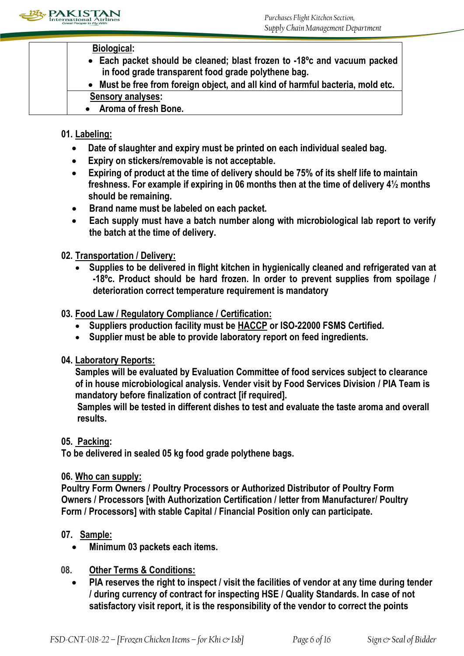

## **Biological:**

- **Each packet should be cleaned; blast frozen to -18ºc and vacuum packed in food grade transparent food grade polythene bag.**
- **Must be free from foreign object, and all kind of harmful bacteria, mold etc. Sensory analyses:**
- **Aroma of fresh Bone.**

# **01. Labeling:**

- **Date of slaughter and expiry must be printed on each individual sealed bag.**
- **Expiry on stickers/removable is not acceptable.**
- **Expiring of product at the time of delivery should be 75% of its shelf life to maintain freshness. For example if expiring in 06 months then at the time of delivery 4½ months should be remaining.**
- **Brand name must be labeled on each packet.**
- **Each supply must have a batch number along with microbiological lab report to verify the batch at the time of delivery.**

# **02. Transportation / Delivery:**

 **Supplies to be delivered in flight kitchen in hygienically cleaned and refrigerated van at -18ºc. Product should be hard frozen. In order to prevent supplies from spoilage / deterioration correct temperature requirement is mandatory**

# **03. Food Law / Regulatory Compliance / Certification:**

- **Suppliers production facility must be HACCP or ISO-22000 FSMS Certified.**
- **Supplier must be able to provide laboratory report on feed ingredients.**

# **04. Laboratory Reports:**

**Samples will be evaluated by Evaluation Committee of food services subject to clearance of in house microbiological analysis. Vender visit by Food Services Division / PIA Team is mandatory before finalization of contract [if required].**

**Samples will be tested in different dishes to test and evaluate the taste aroma and overall results.**

# **05. Packing:**

**To be delivered in sealed 05 kg food grade polythene bags.**

## **06. Who can supply:**

**Poultry Form Owners / Poultry Processors or Authorized Distributor of Poultry Form Owners / Processors [with Authorization Certification / letter from Manufacturer/ Poultry Form / Processors] with stable Capital / Financial Position only can participate.**

# **07. Sample:**

- **Minimum 03 packets each items.**
- **08. Other Terms & Conditions:** 
	- **PIA reserves the right to inspect / visit the facilities of vendor at any time during tender / during currency of contract for inspecting HSE / Quality Standards. In case of not satisfactory visit report, it is the responsibility of the vendor to correct the points**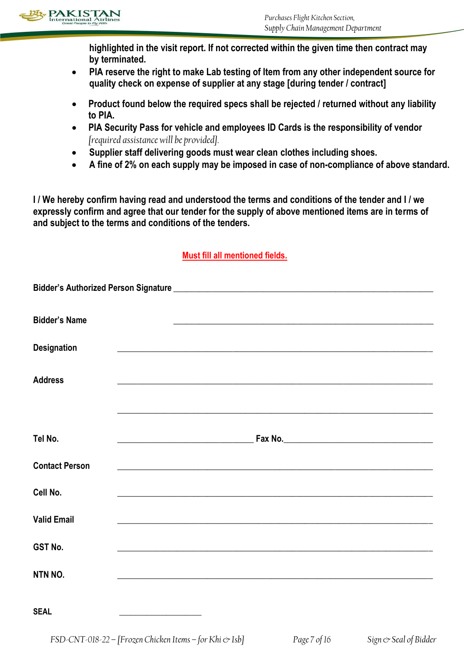

**highlighted in the visit report. If not corrected within the given time then contract may by terminated.**

- **PIA reserve the right to make Lab testing of Item from any other independent source for quality check on expense of supplier at any stage [during tender / contract]**
- **Product found below the required specs shall be rejected / returned without any liability to PIA.**
- **PIA Security Pass for vehicle and employees ID Cards is the responsibility of vendor** *[required assistance will be provided].*
- **Supplier staff delivering goods must wear clean clothes including shoes.**
- **A fine of 2% on each supply may be imposed in case of non-compliance of above standard.**

**I / We hereby confirm having read and understood the terms and conditions of the tender and I / we expressly confirm and agree that our tender for the supply of above mentioned items are in terms of and subject to the terms and conditions of the tenders.** 

## **Must fill all mentioned fields.**

| <b>Bidder's Name</b>  | <u> 1989 - Johann John Stein, mars an deus Amerikaansk kommunister (* 1950)</u>                                      |
|-----------------------|----------------------------------------------------------------------------------------------------------------------|
| <b>Designation</b>    | <u> 1989 - Johann Stoff, amerikansk politiker (d. 1989)</u>                                                          |
| <b>Address</b>        | <u> 1989 - Johann John Stone, markin film yn y brenin y brenin y brenin y brenin y brenin y brenin y brenin y br</u> |
|                       |                                                                                                                      |
| Tel No.               |                                                                                                                      |
| <b>Contact Person</b> |                                                                                                                      |
| Cell No.              | <u> 1989 - Jan James James James James James James James James James James James James James James James James J</u> |
| <b>Valid Email</b>    | <u> 1999 - Johann Stoff, amerikansk politiker (d. 1999)</u>                                                          |
| GST No.               | <u> 1989 - Johann Stoff, amerikansk politiker (d. 1989)</u>                                                          |
| NTN NO.               | <u> 1989 - Johann Stoff, amerikansk politiker (d. 1989)</u>                                                          |
| <b>SEAL</b>           |                                                                                                                      |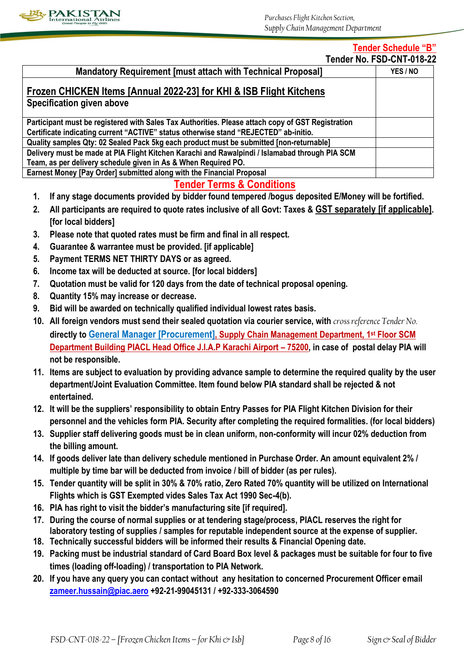

# **Tender Schedule "B"**

| Tender No. FSD-CNT-018-22 |  |  |
|---------------------------|--|--|
|---------------------------|--|--|

| <b>Mandatory Requirement [must attach with Technical Proposal]</b>                                | YES / NO |
|---------------------------------------------------------------------------------------------------|----------|
| Frozen CHICKEN Items [Annual 2022-23] for KHI & ISB Flight Kitchens                               |          |
| Specification given above                                                                         |          |
| Participant must be registered with Sales Tax Authorities. Please attach copy of GST Registration |          |
| Certificate indicating current "ACTIVE" status otherwise stand "REJECTED" ab-initio.              |          |
| Quality samples Qty: 02 Sealed Pack 5kg each product must be submitted [non-returnable]           |          |
| Delivery must be made at PIA Flight Kitchen Karachi and Rawalpindi / Islamabad through PIA SCM    |          |
| Team, as per delivery schedule given in As & When Required PO.                                    |          |
| Earnest Money [Pay Order] submitted along with the Financial Proposal                             |          |

# **Tender Terms & Conditions**

- **1. If any stage documents provided by bidder found tempered /bogus deposited E/Money will be fortified.**
- **2. All participants are required to quote rates inclusive of all Govt: Taxes & GST separately [if applicable]. [for local bidders]**
- **3. Please note that quoted rates must be firm and final in all respect.**
- **4. Guarantee & warrantee must be provided. [if applicable]**
- **5. Payment TERMS NET THIRTY DAYS or as agreed.**
- **6. Income tax will be deducted at source. [for local bidders]**
- **7. Quotation must be valid for 120 days from the date of technical proposal opening.**
- **8. Quantity 15% may increase or decrease.**
- **9. Bid will be awarded on technically qualified individual lowest rates basis.**
- **10. All foreign vendors must send their sealed quotation via courier service, with** *cross reference Tender No.* **directly to General Manager [Procurement], Supply Chain Management Department, 1st Floor SCM Department Building PIACL Head Office J.I.A.P Karachi Airport – 75200, in case of postal delay PIA will not be responsible.**
- **11. Items are subject to evaluation by providing advance sample to determine the required quality by the user department/Joint Evaluation Committee. Item found below PIA standard shall be rejected & not entertained.**
- **12. It will be the suppliers' responsibility to obtain Entry Passes for PIA Flight Kitchen Division for their personnel and the vehicles form PIA. Security after completing the required formalities. (for local bidders)**
- **13. Supplier staff delivering goods must be in clean uniform, non-conformity will incur 02% deduction from the billing amount.**
- **14. If goods deliver late than delivery schedule mentioned in Purchase Order. An amount equivalent 2% / multiple by time bar will be deducted from invoice / bill of bidder (as per rules).**
- **15. Tender quantity will be split in 30% & 70% ratio, Zero Rated 70% quantity will be utilized on International Flights which is GST Exempted vides Sales Tax Act 1990 Sec-4(b).**
- **16. PIA has right to visit the bidder's manufacturing site [if required].**
- **17. During the course of normal supplies or at tendering stage/process, PIACL reserves the right for laboratory testing of supplies / samples for reputable independent source at the expense of supplier.**
- **18. Technically successful bidders will be informed their results & Financial Opening date.**
- **19. Packing must be industrial standard of Card Board Box level & packages must be suitable for four to five times (loading off-loading) / transportation to PIA Network.**
- **20. If you have any query you can contact without any hesitation to concerned Procurement Officer email [zameer.hussain@piac.aero](mailto:zameer.hussain@piac.aero) +92-21-99045131 / +92-333-3064590**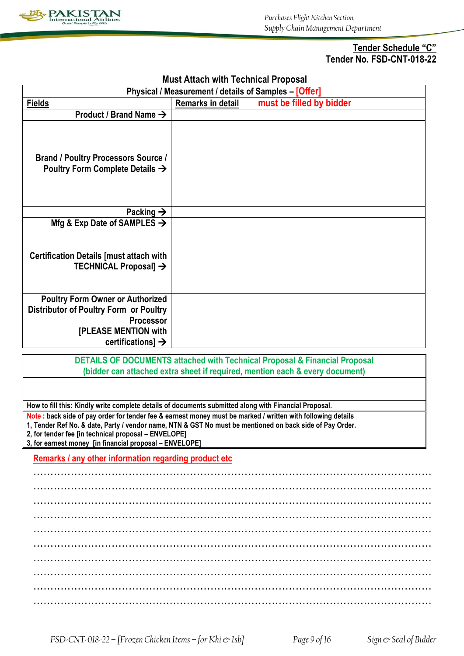

## **Tender Schedule "C" Tender No. FSD-CNT-018-22**

| <b>Must Attach with Technical Proposal</b>                                                                                                                                                                                                                                                                                                  |                                                                                                       |  |  |
|---------------------------------------------------------------------------------------------------------------------------------------------------------------------------------------------------------------------------------------------------------------------------------------------------------------------------------------------|-------------------------------------------------------------------------------------------------------|--|--|
|                                                                                                                                                                                                                                                                                                                                             | Physical / Measurement / details of Samples - [Offer]                                                 |  |  |
| <b>Fields</b>                                                                                                                                                                                                                                                                                                                               | must be filled by bidder<br>Remarks in detail                                                         |  |  |
| Product / Brand Name $\rightarrow$                                                                                                                                                                                                                                                                                                          |                                                                                                       |  |  |
| <b>Brand / Poultry Processors Source /</b><br>Poultry Form Complete Details $\rightarrow$                                                                                                                                                                                                                                                   |                                                                                                       |  |  |
| Packing $\rightarrow$                                                                                                                                                                                                                                                                                                                       |                                                                                                       |  |  |
| Mfg & Exp Date of SAMPLES $\rightarrow$                                                                                                                                                                                                                                                                                                     |                                                                                                       |  |  |
| <b>Certification Details [must attach with</b><br>TECHNICAL Proposal] →                                                                                                                                                                                                                                                                     |                                                                                                       |  |  |
| <b>Poultry Form Owner or Authorized</b>                                                                                                                                                                                                                                                                                                     |                                                                                                       |  |  |
| <b>Distributor of Poultry Form or Poultry</b>                                                                                                                                                                                                                                                                                               |                                                                                                       |  |  |
| Processor                                                                                                                                                                                                                                                                                                                                   |                                                                                                       |  |  |
| <b>[PLEASE MENTION with</b>                                                                                                                                                                                                                                                                                                                 |                                                                                                       |  |  |
| certifications] $\rightarrow$                                                                                                                                                                                                                                                                                                               |                                                                                                       |  |  |
|                                                                                                                                                                                                                                                                                                                                             | DETAILS OF DOCUMENTS attached with Technical Proposal & Financial Proposal                            |  |  |
|                                                                                                                                                                                                                                                                                                                                             | (bidder can attached extra sheet if required, mention each & every document)                          |  |  |
|                                                                                                                                                                                                                                                                                                                                             |                                                                                                       |  |  |
|                                                                                                                                                                                                                                                                                                                                             | How to fill this: Kindly write complete details of documents submitted along with Financial Proposal. |  |  |
| Note : back side of pay order for tender fee & earnest money must be marked / written with following details<br>1, Tender Ref No. & date, Party / vendor name, NTN & GST No must be mentioned on back side of Pay Order.<br>2, for tender fee [in technical proposal - ENVELOPE]<br>3, for earnest money [in financial proposal - ENVELOPE] |                                                                                                       |  |  |
| Remarks / any other information regarding product etc                                                                                                                                                                                                                                                                                       |                                                                                                       |  |  |
|                                                                                                                                                                                                                                                                                                                                             |                                                                                                       |  |  |
|                                                                                                                                                                                                                                                                                                                                             |                                                                                                       |  |  |
|                                                                                                                                                                                                                                                                                                                                             |                                                                                                       |  |  |
|                                                                                                                                                                                                                                                                                                                                             |                                                                                                       |  |  |
|                                                                                                                                                                                                                                                                                                                                             |                                                                                                       |  |  |
|                                                                                                                                                                                                                                                                                                                                             |                                                                                                       |  |  |
|                                                                                                                                                                                                                                                                                                                                             |                                                                                                       |  |  |
|                                                                                                                                                                                                                                                                                                                                             |                                                                                                       |  |  |
|                                                                                                                                                                                                                                                                                                                                             |                                                                                                       |  |  |
|                                                                                                                                                                                                                                                                                                                                             |                                                                                                       |  |  |

**Must Attach with Technical Proposal**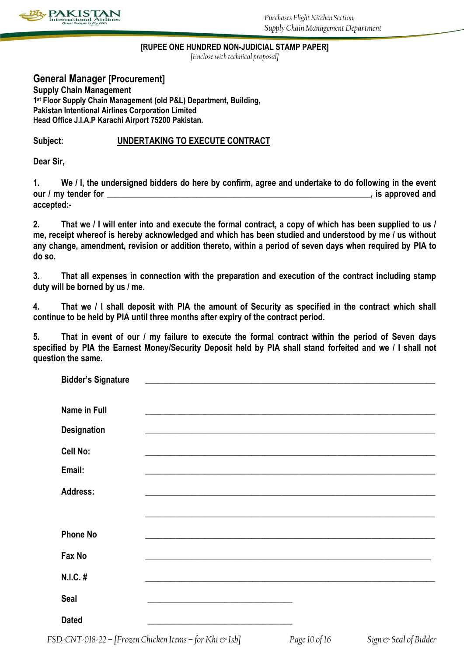

### **[RUPEE ONE HUNDRED NON-JUDICIAL STAMP PAPER]**

*[Enclose with technical proposal]*

**General Manager [Procurement] Supply Chain Management 1 st Floor Supply Chain Management (old P&L) Department, Building, Pakistan Intentional Airlines Corporation Limited Head Office J.I.A.P Karachi Airport 75200 Pakistan.**

## **Subject: UNDERTAKING TO EXECUTE CONTRACT**

**Dear Sir,**

**1. We / I, the undersigned bidders do here by confirm, agree and undertake to do following in the event our / my tender for**  extended and **our / my tender for accepted:-**

**2. That we / I will enter into and execute the formal contract, a copy of which has been supplied to us / me, receipt whereof is hereby acknowledged and which has been studied and understood by me / us without any change, amendment, revision or addition thereto, within a period of seven days when required by PIA to do so.**

**3. That all expenses in connection with the preparation and execution of the contract including stamp duty will be borned by us / me.**

**4. That we / I shall deposit with PIA the amount of Security as specified in the contract which shall continue to be held by PIA until three months after expiry of the contract period.**

**5. That in event of our / my failure to execute the formal contract within the period of Seven days specified by PIA the Earnest Money/Security Deposit held by PIA shall stand forfeited and we / I shall not question the same.**

| <b>Bidder's Signature</b> | <u> 1989 - Johann John Stein, markin film yn y brenin y brenin y brenin y brenin y brenin y brenin y brenin y br</u>  |  |
|---------------------------|-----------------------------------------------------------------------------------------------------------------------|--|
| Name in Full              |                                                                                                                       |  |
| <b>Designation</b>        | <u> 1989 - Johann John Stoff, deutscher Stoffen und der Stoffen und der Stoffen und der Stoffen und der Stoffen u</u> |  |
| Cell No:                  |                                                                                                                       |  |
| Email:                    |                                                                                                                       |  |
| <b>Address:</b>           |                                                                                                                       |  |
|                           |                                                                                                                       |  |
| <b>Phone No</b>           |                                                                                                                       |  |
| Fax No                    |                                                                                                                       |  |
| N.I.C. #                  |                                                                                                                       |  |
| <b>Seal</b>               |                                                                                                                       |  |
| <b>Dated</b>              | <u> 1980 - Johann John Stein, mars eta bat eta bat erroman erroman erroman erroman erroman erroman erroman erroma</u> |  |

*FSD-CNT-018-22 – [Frozen Chicken Items – for Khi & Isb] Page 10 of 16**Sign & Seal of Bidder*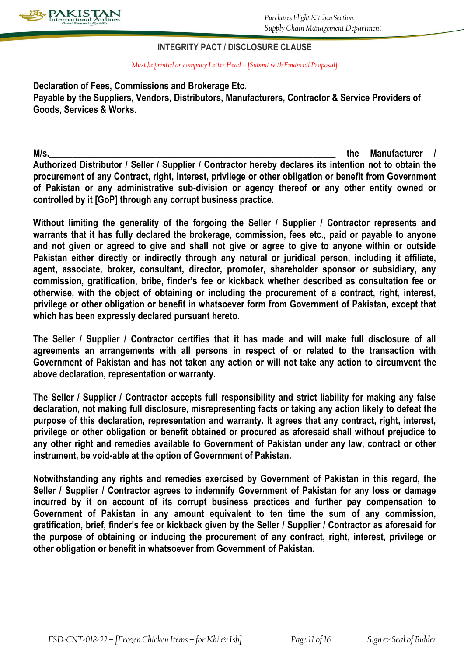

## **INTEGRITY PACT / DISCLOSURE CLAUSE**

*Must be printed on company Letter Head – [Submit with Financial Proposal]*

**Declaration of Fees, Commissions and Brokerage Etc. Payable by the Suppliers, Vendors, Distributors, Manufacturers, Contractor & Service Providers of Goods, Services & Works.**

**M/s.\_\_\_\_\_\_\_\_\_\_\_\_\_\_\_\_\_\_\_\_\_\_\_\_\_\_\_\_\_\_\_\_\_\_\_\_\_\_\_\_\_\_\_\_\_\_\_\_\_\_\_\_\_\_\_\_\_\_\_\_\_\_ the Manufacturer / Authorized Distributor / Seller / Supplier / Contractor hereby declares its intention not to obtain the procurement of any Contract, right, interest, privilege or other obligation or benefit from Government of Pakistan or any administrative sub-division or agency thereof or any other entity owned or controlled by it [GoP] through any corrupt business practice.**

**Without limiting the generality of the forgoing the Seller / Supplier / Contractor represents and warrants that it has fully declared the brokerage, commission, fees etc., paid or payable to anyone and not given or agreed to give and shall not give or agree to give to anyone within or outside Pakistan either directly or indirectly through any natural or juridical person, including it affiliate, agent, associate, broker, consultant, director, promoter, shareholder sponsor or subsidiary, any commission, gratification, bribe, finder's fee or kickback whether described as consultation fee or otherwise, with the object of obtaining or including the procurement of a contract, right, interest, privilege or other obligation or benefit in whatsoever form from Government of Pakistan, except that which has been expressly declared pursuant hereto.**

**The Seller / Supplier / Contractor certifies that it has made and will make full disclosure of all agreements an arrangements with all persons in respect of or related to the transaction with Government of Pakistan and has not taken any action or will not take any action to circumvent the above declaration, representation or warranty.**

**The Seller / Supplier / Contractor accepts full responsibility and strict liability for making any false declaration, not making full disclosure, misrepresenting facts or taking any action likely to defeat the purpose of this declaration, representation and warranty. It agrees that any contract, right, interest, privilege or other obligation or benefit obtained or procured as aforesaid shall without prejudice to any other right and remedies available to Government of Pakistan under any law, contract or other instrument, be void-able at the option of Government of Pakistan.**

**Notwithstanding any rights and remedies exercised by Government of Pakistan in this regard, the Seller / Supplier / Contractor agrees to indemnify Government of Pakistan for any loss or damage incurred by it on account of its corrupt business practices and further pay compensation to Government of Pakistan in any amount equivalent to ten time the sum of any commission, gratification, brief, finder's fee or kickback given by the Seller / Supplier / Contractor as aforesaid for the purpose of obtaining or inducing the procurement of any contract, right, interest, privilege or other obligation or benefit in whatsoever from Government of Pakistan.**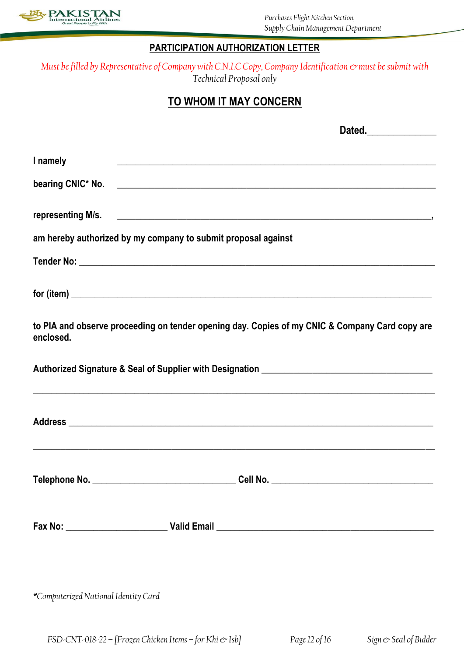

## **PARTICIPATION AUTHORIZATION LETTER**

*Must be filled by Representative of Company with C.N.I.C Copy, Company Identification*  $\infty$  must be submit with *Technical Proposal only*

# **TO WHOM IT MAY CONCERN**

|                                                               | Dated.______________                                                                           |
|---------------------------------------------------------------|------------------------------------------------------------------------------------------------|
| I namely                                                      |                                                                                                |
|                                                               |                                                                                                |
|                                                               |                                                                                                |
| am hereby authorized by my company to submit proposal against |                                                                                                |
|                                                               |                                                                                                |
|                                                               | $for (item) \_$                                                                                |
| enclosed.                                                     | to PIA and observe proceeding on tender opening day. Copies of my CNIC & Company Card copy are |
|                                                               |                                                                                                |
|                                                               |                                                                                                |
|                                                               |                                                                                                |
|                                                               |                                                                                                |
| *Computerized National Identity Card                          |                                                                                                |

*FSD-CNT-018-22 – [Frozen Chicken Items – for Khi & Isb] Page 12 of 16**Sign & Seal of Bidder*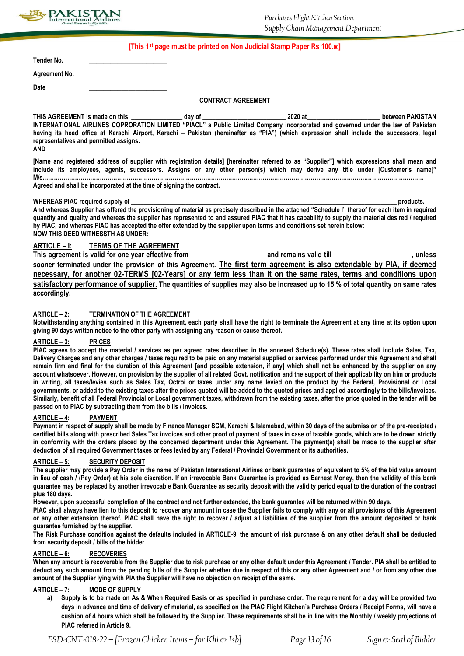

### **[This 1st page must be printed on Non Judicial Stamp Paper Rs 100.00]**

**Tender No. \_\_\_\_\_\_\_\_\_\_\_\_\_\_\_\_\_\_\_\_\_\_**

**Agreement No. \_\_\_\_\_\_\_\_\_\_\_\_\_\_\_\_\_\_\_\_\_\_**

**Date \_\_\_\_\_\_\_\_\_\_\_\_\_\_\_\_\_\_\_\_\_\_**

### **CONTRACT AGREEMENT**

THIS AGREEMENT is made on this **this** day of the state of the state of the state of the state of the state of the state of the state of the state of the state of the state of the state of the state of the state of the stat **INTERNATIONAL AIRLINES COPRORATION LIMITED "PIACL" a Public Limited Company incorporated and governed under the law of Pakistan having its head office at Karachi Airport, Karachi – Pakistan (hereinafter as "PIA") (which expression shall include the successors, legal representatives and permitted assigns. AND**

**[Name and registered address of supplier with registration details] [hereinafter referred to as "Supplier"] which expressions shall mean and include its employees, agents, successors. Assigns or any other person(s) which may derive any title under [Customer's name]" M/s.………………………………………………………………………………………………………………………………………………………………………………**

**Agreed and shall be incorporated at the time of signing the contract.**

### WHEREAS PIAC required supply of **with a supply of the supply of the supply of the supply of the supply of the supply of the supply of the supply of the supply of the supply of the supply of the supply of the supply of the**

**And whereas Supplier has offered the provisioning of material as precisely described in the attached "Schedule I" thereof for each item in required quantity and quality and whereas the supplier has represented to and assured PIAC that it has capability to supply the material desired / required by PIAC, and whereas PIAC has accepted the offer extended by the supplier upon terms and conditions set herein below: NOW THIS DEED WITNESSTH AS UNDER:**

### **ARTICLE – I: TERMS OF THE AGREEMENT**

**This agreement is valid for one year effective from \_\_\_\_\_\_\_\_\_\_\_\_\_\_\_\_\_\_\_\_\_ and remains valid till \_\_\_\_\_\_\_\_\_\_\_\_\_\_\_\_\_\_\_\_\_\_, unless sooner terminated under the provision of this Agreement. The first term agreement is also extendable by PIA, if deemed necessary, for another 02-TERMS [02-Years] or any term less than it on the same rates, terms and conditions upon satisfactory performance of supplier. The quantities of supplies may also be increased up to 15 % of total quantity on same rates accordingly.**

### **ARTICLE – 2: TERMINATION OF THE AGREEMENT**

**Notwithstanding anything contained in this Agreement, each party shall have the right to terminate the Agreement at any time at its option upon giving 90 days written notice to the other party with assigning any reason or cause thereof.**

### **ARTICLE – 3: PRICES**

**PIAC agrees to accept the material / services as per agreed rates described in the annexed Schedule(s). These rates shall include Sales, Tax, Delivery Charges and any other charges / taxes required to be paid on any material supplied or services performed under this Agreement and shall remain firm and final for the duration of this Agreement [and possible extension, if any] which shall not be enhanced by the supplier on any account whatsoever. However, on provision by the supplier of all related Govt. notification and the support of their applicability on him or products in writing, all taxes/levies such as Sales Tax, Octroi or taxes under any name levied on the product by the Federal, Provisional or Local governments, or added to the existing taxes after the prices quoted will be added to the quoted prices and applied accordingly to the bills/invoices. Similarly, benefit of all Federal Provincial or Local government taxes, withdrawn from the existing taxes, after the price quoted in the tender will be passed on to PIAC by subtracting them from the bills / invoices.**

### **ARTICLE – 4: PAYMENT**

**Payment in respect of supply shall be made by Finance Manager SCM, Karachi & Islamabad, within 30 days of the submission of the pre-receipted / certified bills along with prescribed Sales Tax invoices and other proof of payment of taxes in case of taxable goods, which are to be drawn strictly in conformity with the orders placed by the concerned department under this Agreement. The payment(s) shall be made to the supplier after deduction of all required Government taxes or fees levied by any Federal / Provincial Government or its authorities.**

### **ARTICLE – 5: SECURITY DEPOSIT**

**The supplier may provide a Pay Order in the name of Pakistan International Airlines or bank guarantee of equivalent to 5% of the bid value amount in lieu of cash / (Pay Order) at his sole discretion. If an irrevocable Bank Guarantee is provided as Earnest Money, then the validity of this bank guarantee may be replaced by another irrevocable Bank Guarantee as security deposit with the validity period equal to the duration of the contract plus 180 days.**

**However, upon successful completion of the contract and not further extended, the bank guarantee will be returned within 90 days.**

**PIAC shall always have lien to this deposit to recover any amount in case the Supplier fails to comply with any or all provisions of this Agreement or any other extension thereof. PIAC shall have the right to recover / adjust all liabilities of the supplier from the amount deposited or bank guarantee furnished by the supplier.**

**The Risk Purchase condition against the defaults included in ARTICLE-9, the amount of risk purchase & on any other default shall be deducted from security deposit / bills of the bidder** 

### **ARTICLE – 6: RECOVERIES**

**When any amount is recoverable from the Supplier due to risk purchase or any other default under this Agreement / Tender. PIA shall be entitled to deduct any such amount from the pending bills of the Supplier whether due in respect of this or any other Agreement and / or from any other due amount of the Supplier lying with PIA the Supplier will have no objection on receipt of the same.**

### **ARTICLE – 7: MODE OF SUPPLY**

**a) Supply is to be made on As & When Required Basis or as specified in purchase order. The requirement for a day will be provided two days in advance and time of delivery of material, as specified on the PIAC Flight Kitchen's Purchase Orders / Receipt Forms, will have a cushion of 4 hours which shall be followed by the Supplier. These requirements shall be in line with the Monthly / weekly projections of PIAC referred in Article 9.**

*FSD-CNT-018-22 – [Frozen Chicken Items – for Khi & Isb] Page 13 of 16**Sign & Seal of Bidder*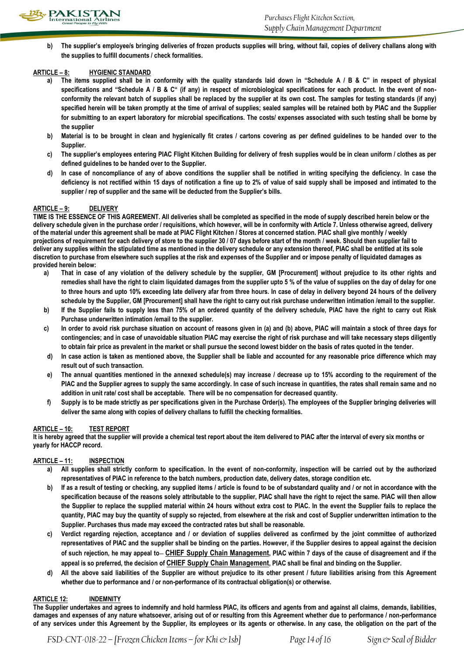

**b) The supplier's employee/s bringing deliveries of frozen products supplies will bring, without fail, copies of delivery challans along with the supplies to fulfill documents / check formalities.**

### **ARTICLE – 8: HYGIENIC STANDARD**

- **a) The items supplied shall be in conformity with the quality standards laid down in "Schedule A / B & C" in respect of physical specifications and "Schedule A / B & C" (if any) in respect of microbiological specifications for each product. In the event of nonconformity the relevant batch of supplies shall be replaced by the supplier at its own cost. The samples for testing standards (if any) specified herein will be taken promptly at the time of arrival of supplies; sealed samples will be retained both by PIAC and the Supplier for submitting to an expert laboratory for microbial specifications. The costs/ expenses associated with such testing shall be borne by the supplier**
- **b) Material is to be brought in clean and hygienically fit crates / cartons covering as per defined guidelines to be handed over to the Supplier.**
- **c) The supplier's employees entering PIAC Flight Kitchen Building for delivery of fresh supplies would be in clean uniform / clothes as per defined guidelines to be handed over to the Supplier.**
- **d) In case of noncompliance of any of above conditions the supplier shall be notified in writing specifying the deficiency. In case the deficiency is not rectified within 15 days of notification a fine up to 2% of value of said supply shall be imposed and intimated to the supplier / rep of supplier and the same will be deducted from the Supplier's bills.**

### **ARTICLE – 9: DELIVERY**

**TIME IS THE ESSENCE OF THIS AGREEMENT. All deliveries shall be completed as specified in the mode of supply described herein below or the delivery schedule given in the purchase order / requisitions, which however, will be in conformity with Article 7. Unless otherwise agreed, delivery of the material under this agreement shall be made at PIAC Flight Kitchen / Stores at concerned station. PIAC shall give monthly / weekly projections of requirement for each delivery of store to the supplier 30 / 07 days before start of the month / week. Should then supplier fail to deliver any supplies within the stipulated time as mentioned in the delivery schedule or any extension thereof, PIAC shall be entitled at its sole discretion to purchase from elsewhere such supplies at the risk and expenses of the Supplier and or impose penalty of liquidated damages as provided herein below:**

- **a) That in case of any violation of the delivery schedule by the supplier, GM [Procurement] without prejudice to its other rights and remedies shall have the right to claim liquidated damages from the supplier upto 5 % of the value of supplies on the day of delay for one to three hours and upto 10% exceeding late delivery afar from three hours. In case of delay in delivery beyond 24 hours of the delivery schedule by the Supplier, GM [Procurement] shall have the right to carry out risk purchase underwritten intimation /email to the supplier.**
- **b) If the Supplier fails to supply less than 75% of an ordered quantity of the delivery schedule, PIAC have the right to carry out Risk Purchase underwritten intimation /email to the supplier.**
- **c) In order to avoid risk purchase situation on account of reasons given in (a) and (b) above, PIAC will maintain a stock of three days for contingencies; and in case of unavoidable situation PIAC may exercise the right of risk purchase and will take necessary steps diligently to obtain fair price as prevalent in the market or shall pursue the second lowest bidder on the basis of rates quoted in the tender.**
- **d) In case action is taken as mentioned above, the Supplier shall be liable and accounted for any reasonable price difference which may result out of such transaction.**
- e) The annual quantities mentioned in the annexed schedule(s) may increase / decrease up to 15% according to the requirement of the **PIAC and the Supplier agrees to supply the same accordingly. In case of such increase in quantities, the rates shall remain same and no addition in unit rate/ cost shall be acceptable. There will be no compensation for decreased quantity.**
- **f) Supply is to be made strictly as per specifications given in the Purchase Order(s). The employees of the Supplier bringing deliveries will deliver the same along with copies of delivery challans to fulfill the checking formalities.**

### **ARTICLE – 10: TEST REPORT**

**It is hereby agreed that the supplier will provide a chemical test report about the item delivered to PIAC after the interval of every six months or yearly for HACCP record.**

### **ARTICLE – 11: INSPECTION**

- **a) All supplies shall strictly conform to specification. In the event of non-conformity, inspection will be carried out by the authorized representatives of PIAC in reference to the batch numbers, production date, delivery dates, storage condition etc.**
- **b) If as a result of testing or checking, any supplied items / article is found to be of substandard quality and / or not in accordance with the specification because of the reasons solely attributable to the supplier, PIAC shall have the right to reject the same. PIAC will then allow the Supplier to replace the supplied material within 24 hours without extra cost to PIAC. In the event the Supplier fails to replace the quantity, PIAC may buy the quantity of supply so rejected, from elsewhere at the risk and cost of Supplier underwritten intimation to the Supplier. Purchases thus made may exceed the contracted rates but shall be reasonable.**
- **c) Verdict regarding rejection, acceptance and / or deviation of supplies delivered as confirmed by the joint committee of authorized representatives of PIAC and the supplier shall be binding on the parties. However, if the Supplier desires to appeal against the decision of such rejection, he may appeal to CHIEF Supply Chain Management, PIAC within 7 days of the cause of disagreement and if the appeal is so preferred, the decision of CHIEF Supply Chain Management, PIAC shall be final and binding on the Supplier.**
- **d) All the above said liabilities of the Supplier are without prejudice to its other present / future liabilities arising from this Agreement whether due to performance and / or non-performance of its contractual obligation(s) or otherwise.**

### **ARTICLE 12: INDEMNITY**

**The Supplier undertakes and agrees to indemnify and hold harmless PIAC, its officers and agents from and against all claims, demands, liabilities, damages and expenses of any nature whatsoever, arising out of or resulting from this Agreement whether due to performance / non-performance of any services under this Agreement by the Supplier, its employees or its agents or otherwise. In any case, the obligation on the part of the**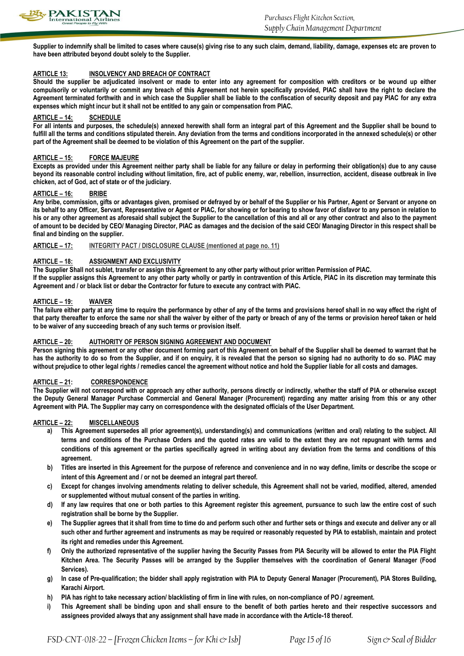

**Supplier to indemnify shall be limited to cases where cause(s) giving rise to any such claim, demand, liability, damage, expenses etc are proven to have been attributed beyond doubt solely to the Supplier.**

### **ARTICLE 13: INSOLVENCY AND BREACH OF CONTRACT**

**Should the supplier be adjudicated insolvent or made to enter into any agreement for composition with creditors or be wound up either compulsorily or voluntarily or commit any breach of this Agreement not herein specifically provided, PIAC shall have the right to declare the Agreement terminated forthwith and in which case the Supplier shall be liable to the confiscation of security deposit and pay PIAC for any extra expenses which might incur but it shall not be entitled to any gain or compensation from PIAC.**

#### **ARTICLE – 14: SCHEDULE**

**For all intents and purposes, the schedule(s) annexed herewith shall form an integral part of this Agreement and the Supplier shall be bound to**  fulfill all the terms and conditions stipulated therein. Any deviation from the terms and conditions incorporated in the annexed schedule(s) or other **part of the Agreement shall be deemed to be violation of this Agreement on the part of the supplier.**

### **ARTICLE – 15: FORCE MAJEURE**

**Excepts as provided under this Agreement neither party shall be liable for any failure or delay in performing their obligation(s) due to any cause beyond its reasonable control including without limitation, fire, act of public enemy, war, rebellion, insurrection, accident, disease outbreak in live chicken, act of God, act of state or of the judiciary.**

#### **ARTICLE – 16: BRIBE**

**Any bribe, commission, gifts or advantages given, promised or defrayed by or behalf of the Supplier or his Partner, Agent or Servant or anyone on its behalf to any Officer, Servant, Representative or Agent or PIAC, for showing or for bearing to show favor of disfavor to any person in relation to his or any other agreement as aforesaid shall subject the Supplier to the cancellation of this and all or any other contract and also to the payment of amount to be decided by CEO/ Managing Director, PIAC as damages and the decision of the said CEO/ Managing Director in this respect shall be final and binding on the supplier.** 

**ARTICLE – 17: INTEGRITY PACT / DISCLOSURE CLAUSE (mentioned at page no. 11)**

### **ARTICLE – 18: ASSIGNMENT AND EXCLUSIVITY**

**The Supplier Shall not sublet, transfer or assign this Agreement to any other party without prior written Permission of PIAC.**

**If the supplier assigns this Agreement to any other party wholly or partly in contravention of this Article, PIAC in its discretion may terminate this Agreement and / or black list or debar the Contractor for future to execute any contract with PIAC.**

### **ARTICLE – 19: WAIVER**

**The failure either party at any time to require the performance by other of any of the terms and provisions hereof shall in no way effect the right of that party thereafter to enforce the same nor shall the waiver by either of the party or breach of any of the terms or provision hereof taken or held to be waiver of any succeeding breach of any such terms or provision itself.**

### **ARTICLE – 20: AUTHORITY OF PERSON SIGNING AGREEMENT AND DOCUMENT**

**Person signing this agreement or any other document forming part of this Agreement on behalf of the Supplier shall be deemed to warrant that he has the authority to do so from the Supplier, and if on enquiry, it is revealed that the person so signing had no authority to do so. PIAC may without prejudice to other legal rights / remedies cancel the agreement without notice and hold the Supplier liable for all costs and damages.**

### **ARTICLE – 21: CORRESPONDENCE**

**The Supplier will not correspond with or approach any other authority, persons directly or indirectly, whether the staff of PIA or otherwise except the Deputy General Manager Purchase Commercial and General Manager (Procurement) regarding any matter arising from this or any other Agreement with PIA. The Supplier may carry on correspondence with the designated officials of the User Department.** 

### **ARTICLE – 22: MISCELLANEOUS**

- **a) This Agreement supersedes all prior agreement(s), understanding(s) and communications (written and oral) relating to the subject. All terms and conditions of the Purchase Orders and the quoted rates are valid to the extent they are not repugnant with terms and conditions of this agreement or the parties specifically agreed in writing about any deviation from the terms and conditions of this agreement.**
- **b) Titles are inserted in this Agreement for the purpose of reference and convenience and in no way define, limits or describe the scope or intent of this Agreement and / or not be deemed an integral part thereof.**
- **c) Except for changes involving amendments relating to deliver schedule, this Agreement shall not be varied, modified, altered, amended or supplemented without mutual consent of the parties in writing.**
- **d) If any law requires that one or both parties to this Agreement register this agreement, pursuance to such law the entire cost of such registration shall be borne by the Supplier.**
- **e) The Supplier agrees that it shall from time to time do and perform such other and further sets or things and execute and deliver any or all such other and further agreement and instruments as may be required or reasonably requested by PIA to establish, maintain and protect its right and remedies under this Agreement.**
- **f) Only the authorized representative of the supplier having the Security Passes from PIA Security will be allowed to enter the PIA Flight Kitchen Area. The Security Passes will be arranged by the Supplier themselves with the coordination of General Manager (Food Services).**
- **g) In case of Pre-qualification; the bidder shall apply registration with PIA to Deputy General Manager (Procurement), PIA Stores Building, Karachi Airport.**
- **h) PIA has right to take necessary action/ blacklisting of firm in line with rules, on non-compliance of PO / agreement.**
- **i) This Agreement shall be binding upon and shall ensure to the benefit of both parties hereto and their respective successors and assignees provided always that any assignment shall have made in accordance with the Article-18 thereof.**